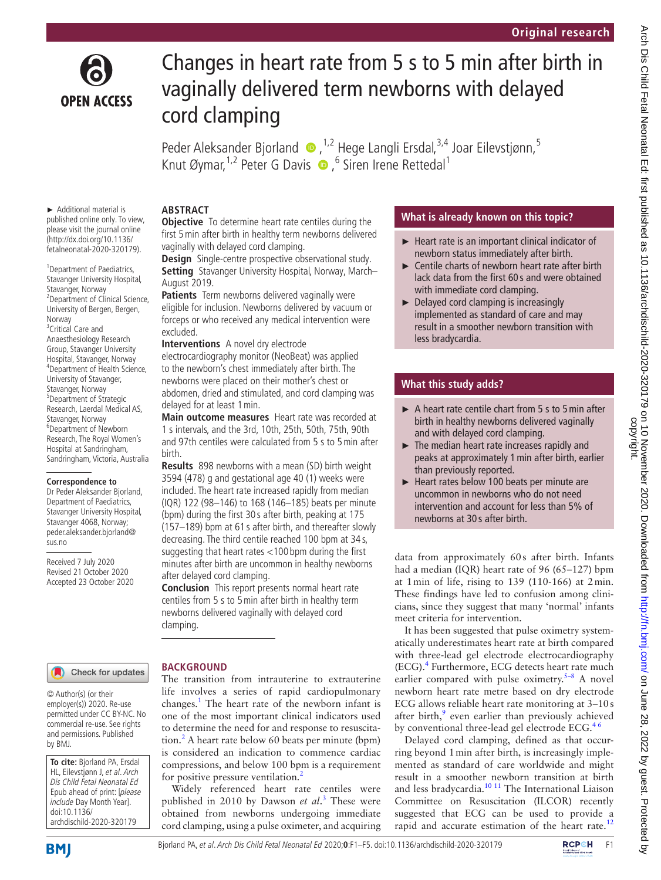

# Changes in heart rate from 5 s to 5 min after birth in vaginally delivered term newborns with delayed cord clamping

PederAleksander Bjorland  $\bullet$ ,<sup>1,2</sup> Hege Langli Ersdal,<sup>3,4</sup> Joar Eilevstjønn,<sup>5</sup> KnutØymar, <sup>1,2</sup> Peter G Davis  $\bullet$ , <sup>6</sup> Siren Irene Rettedal<sup>1</sup>

#### ► Additional material is published online only. To view, please visit the journal online (http://dx.doi.org/10.1136/

fetalneonatal-2020-320179).

<sup>1</sup> Department of Paediatrics, Stavanger University Hospital, Stavanger, Norway <sup>2</sup> Department of Clinical Science, University of Bergen, Bergen, Norway <sup>3</sup>Critical Care and Anaesthesiology Research Group, Stavanger University Hospital, Stavanger, Norway 4 Department of Health Science, University of Stavanger, Stavanger, Norway 5 Department of Strategic Research, Laerdal Medical AS, Stavanger, Norway 6 Department of Newborn Research, The Royal Women's Hospital at Sandringham, Sandringham, Victoria, Australia

#### **Correspondence to**

Dr Peder Aleksander Bjorland, Department of Paediatrics, Stavanger University Hospital, Stavanger 4068, Norway; peder.aleksander.bjorland@ sus.no

Received 7 July 2020 Revised 21 October 2020 Accepted 23 October 2020

## **ABSTRACT**

**Objective** To determine heart rate centiles during the first 5min after birth in healthy term newborns delivered vaginally with delayed cord clamping.

**Design** Single-centre prospective observational study. **Setting** Stavanger University Hospital, Norway, March– August 2019.

**Patients** Term newborns delivered vaginally were eligible for inclusion. Newborns delivered by vacuum or forceps or who received any medical intervention were excluded.

**Interventions** A novel dry electrode

electrocardiography monitor (NeoBeat) was applied to the newborn's chest immediately after birth. The newborns were placed on their mother's chest or abdomen, dried and stimulated, and cord clamping was delayed for at least 1min.

**Main outcome measures** Heart rate was recorded at 1 s intervals, and the 3rd, 10th, 25th, 50th, 75th, 90th and 97th centiles were calculated from 5 s to 5min after birth.

**Results** 898 newborns with a mean (SD) birth weight 3594 (478) g and gestational age 40 (1) weeks were included. The heart rate increased rapidly from median (IQR) 122 (98–146) to 168 (146–185) beats per minute (bpm) during the first 30 s after birth, peaking at 175 (157–189) bpm at 61 s after birth, and thereafter slowly decreasing. The third centile reached 100 bpm at 34 s, suggesting that heart rates <100 bpm during the first minutes after birth are uncommon in healthy newborns after delayed cord clamping.

**Conclusion** This report presents normal heart rate centiles from 5 s to 5min after birth in healthy term newborns delivered vaginally with delayed cord clamping.

# Check for updates

© Author(s) (or their employer(s)) 2020. Re-use permitted under CC BY-NC. No commercial re-use. See rights and permissions. Published by BMJ.

**To cite:** Bjorland PA, Ersdal HL, Eilevstjønn J, et al. Arch Dis Child Fetal Neonatal Ed Epub ahead of print: [please include Day Month Year]. doi:10.1136/ archdischild-2020-320179

**BMI** 

# **BACKGROUND**

The transition from intrauterine to extrauterine life involves a series of rapid cardiopulmonary changes.<sup>1</sup> The heart rate of the newborn infant is one of the most important clinical indicators used to determine the need for and response to resuscita-tion.<sup>[2](#page-4-1)</sup> A heart rate below 60 beats per minute (bpm) is considered an indication to commence cardiac compressions, and below 100 bpm is a requirement for positive pressure ventilation.<sup>[2](#page-4-1)</sup>

Widely referenced heart rate centiles were published in 2010 by Dawson *et al*. [3](#page-4-2) These were obtained from newborns undergoing immediate cord clamping, using a pulse oximeter, and acquiring

## **What is already known on this topic?**

- ► Heart rate is an important clinical indicator of newborn status immediately after birth.
- ► Centile charts of newborn heart rate after birth lack data from the first 60 s and were obtained with immediate cord clamping.
- ► Delayed cord clamping is increasingly implemented as standard of care and may result in a smoother newborn transition with less bradycardia.

# **What this study adds?**

- ► A heart rate centile chart from 5 s to 5min after birth in healthy newborns delivered vaginally and with delayed cord clamping.
- $\blacktriangleright$  The median heart rate increases rapidly and peaks at approximately 1min after birth, earlier than previously reported.
- ► Heart rates below 100 beats per minute are uncommon in newborns who do not need intervention and account for less than 5% of newborns at 30 s after birth.

data from approximately 60s after birth. Infants had a median (IQR) heart rate of 96 (65–127) bpm at 1min of life, rising to 139 (110-166) at 2min. These findings have led to confusion among clinicians, since they suggest that many 'normal' infants meet criteria for intervention.

It has been suggested that pulse oximetry systematically underestimates heart rate at birth compared with three-lead gel electrode electrocardiography (ECG).[4](#page-4-3) Furthermore, ECG detects heart rate much earlier compared with pulse oximetry. $5-8$  A novel newborn heart rate metre based on dry electrode ECG allows reliable heart rate monitoring at 3–10s after birth,<sup>[9](#page-4-5)</sup> even earlier than previously achieved by conventional three-lead gel electrode ECG.<sup>46</sup>

Delayed cord clamping, defined as that occurring beyond 1min after birth, is increasingly implemented as standard of care worldwide and might result in a smoother newborn transition at birth and less bradycardia. $10^{11}$  The International Liaison Committee on Resuscitation (ILCOR) recently suggested that ECG can be used to provide a rapid and accurate estimation of the heart rate.<sup>[12](#page-4-7)</sup>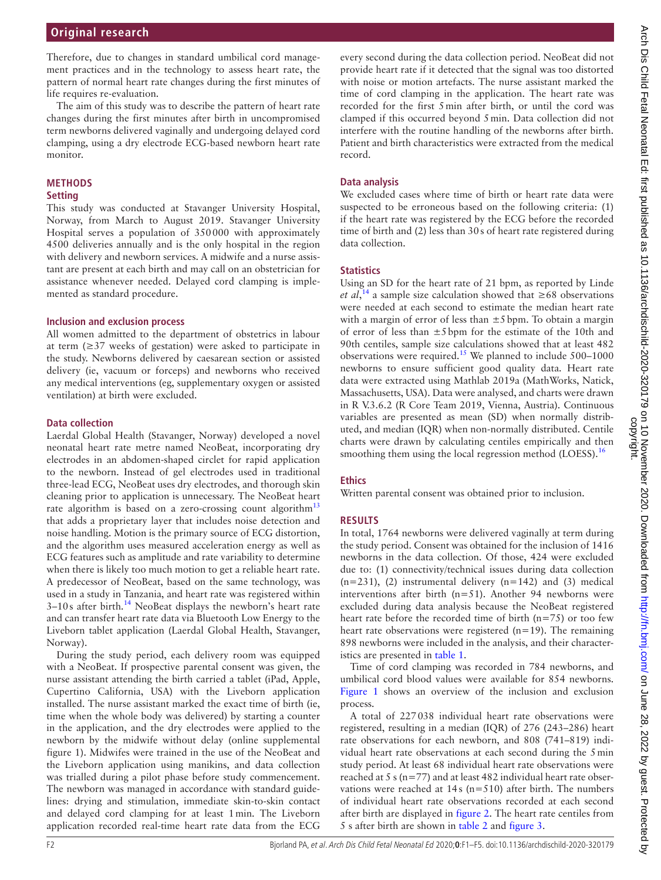The aim of this study was to describe the pattern of heart rate changes during the first minutes after birth in uncompromised term newborns delivered vaginally and undergoing delayed cord clamping, using a dry electrode ECG-based newborn heart rate monitor.

# **METHODS**

# **Setting**

This study was conducted at Stavanger University Hospital, Norway, from March to August 2019. Stavanger University Hospital serves a population of 350000 with approximately 4500 deliveries annually and is the only hospital in the region with delivery and newborn services. A midwife and a nurse assistant are present at each birth and may call on an obstetrician for assistance whenever needed. Delayed cord clamping is implemented as standard procedure.

# **Inclusion and exclusion process**

All women admitted to the department of obstetrics in labour at term  $(\geq)37$  weeks of gestation) were asked to participate in the study. Newborns delivered by caesarean section or assisted delivery (ie, vacuum or forceps) and newborns who received any medical interventions (eg, supplementary oxygen or assisted ventilation) at birth were excluded.

## **Data collection**

Laerdal Global Health (Stavanger, Norway) developed a novel neonatal heart rate metre named NeoBeat, incorporating dry electrodes in an abdomen-shaped circlet for rapid application to the newborn. Instead of gel electrodes used in traditional three-lead ECG, NeoBeat uses dry electrodes, and thorough skin cleaning prior to application is unnecessary. The NeoBeat heart rate algorithm is based on a zero-crossing count algorithm<sup>[13](#page-4-8)</sup> that adds a proprietary layer that includes noise detection and noise handling. Motion is the primary source of ECG distortion, and the algorithm uses measured acceleration energy as well as ECG features such as amplitude and rate variability to determine when there is likely too much motion to get a reliable heart rate. A predecessor of NeoBeat, based on the same technology, was used in a study in Tanzania, and heart rate was registered within  $3-10s$  after birth.<sup>[14](#page-4-9)</sup> NeoBeat displays the newborn's heart rate and can transfer heart rate data via Bluetooth Low Energy to the Liveborn tablet application (Laerdal Global Health, Stavanger, Norway).

During the study period, each delivery room was equipped with a NeoBeat. If prospective parental consent was given, the nurse assistant attending the birth carried a tablet (iPad, Apple, Cupertino California, USA) with the Liveborn application installed. The nurse assistant marked the exact time of birth (ie, time when the whole body was delivered) by starting a counter in the application, and the dry electrodes were applied to the newborn by the midwife without delay ([online supplemental](https://dx.doi.org/10.1136/fetalneonatal-2020-320179)  [figure 1](https://dx.doi.org/10.1136/fetalneonatal-2020-320179)). Midwifes were trained in the use of the NeoBeat and the Liveborn application using manikins, and data collection was trialled during a pilot phase before study commencement. The newborn was managed in accordance with standard guidelines: drying and stimulation, immediate skin-to-skin contact and delayed cord clamping for at least 1min. The Liveborn application recorded real-time heart rate data from the ECG

every second during the data collection period. NeoBeat did not provide heart rate if it detected that the signal was too distorted with noise or motion artefacts. The nurse assistant marked the time of cord clamping in the application. The heart rate was recorded for the first 5min after birth, or until the cord was clamped if this occurred beyond 5min. Data collection did not interfere with the routine handling of the newborns after birth. Patient and birth characteristics were extracted from the medical record.

## **Data analysis**

We excluded cases where time of birth or heart rate data were suspected to be erroneous based on the following criteria: (1) if the heart rate was registered by the ECG before the recorded time of birth and (2) less than 30s of heart rate registered during data collection.

## **Statistics**

Using an SD for the heart rate of 21 bpm, as reported by Linde *et al*,<sup>[14](#page-4-9)</sup> a sample size calculation showed that  $\geq 68$  observations were needed at each second to estimate the median heart rate with a margin of error of less than  $\pm 5$  bpm. To obtain a margin of error of less than ±5bpm for the estimate of the 10th and 90th centiles, sample size calculations showed that at least 482 observations were required.[15](#page-4-10) We planned to include 500–1000 newborns to ensure sufficient good quality data. Heart rate data were extracted using Mathlab 2019a (MathWorks, Natick, Massachusetts, USA). Data were analysed, and charts were drawn in R V.3.6.2 (R Core Team 2019, Vienna, Austria). Continuous variables are presented as mean (SD) when normally distributed, and median (IQR) when non-normally distributed. Centile charts were drawn by calculating centiles empirically and then smoothing them using the local regression method (LOESS).<sup>16</sup>

# **Ethics**

Written parental consent was obtained prior to inclusion.

# **RESULTS**

In total, 1764 newborns were delivered vaginally at term during the study period. Consent was obtained for the inclusion of 1416 newborns in the data collection. Of those, 424 were excluded due to: (1) connectivity/technical issues during data collection  $(n=231)$ , (2) instrumental delivery  $(n=142)$  and (3) medical interventions after birth (n=51). Another 94 newborns were excluded during data analysis because the NeoBeat registered heart rate before the recorded time of birth (n=75) or too few heart rate observations were registered (n=19). The remaining 898 newborns were included in the analysis, and their characteristics are presented in [table](#page-2-0) 1.

Time of cord clamping was recorded in 784 newborns, and umbilical cord blood values were available for 854 newborns. [Figure](#page-2-1) 1 shows an overview of the inclusion and exclusion process.

A total of 227038 individual heart rate observations were registered, resulting in a median (IQR) of 276 (243–286) heart rate observations for each newborn, and 808 (741–819) individual heart rate observations at each second during the 5min study period. At least 68 individual heart rate observations were reached at 5 s (n=77) and at least 482 individual heart rate observations were reached at  $14s$  (n=510) after birth. The numbers of individual heart rate observations recorded at each second after birth are displayed in [figure](#page-2-2) 2. The heart rate centiles from 5 s after birth are shown in [table](#page-2-3) 2 and [figure](#page-3-0) 3.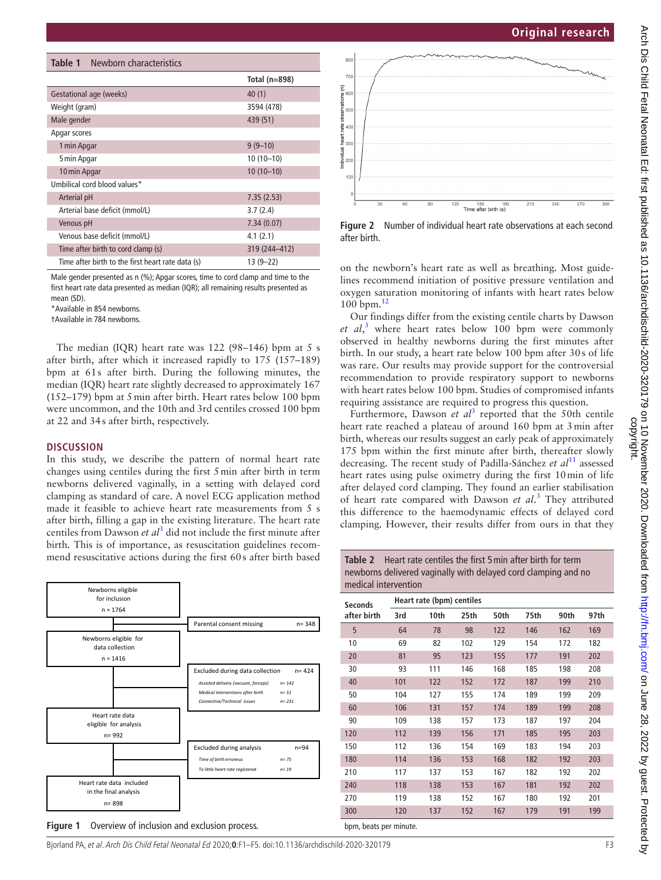<span id="page-2-0"></span>

| <b>Table 1</b> Newborn characteristics            |               |  |  |  |  |  |  |
|---------------------------------------------------|---------------|--|--|--|--|--|--|
|                                                   | Total (n=898) |  |  |  |  |  |  |
| Gestational age (weeks)                           | 40(1)         |  |  |  |  |  |  |
| Weight (gram)                                     | 3594 (478)    |  |  |  |  |  |  |
| Male gender                                       | 439 (51)      |  |  |  |  |  |  |
| Apgar scores                                      |               |  |  |  |  |  |  |
| 1 min Apgar                                       | $9(9-10)$     |  |  |  |  |  |  |
| 5 min Apgar                                       | $10(10-10)$   |  |  |  |  |  |  |
| 10 min Apgar                                      | $10(10-10)$   |  |  |  |  |  |  |
| Umbilical cord blood values*                      |               |  |  |  |  |  |  |
| Arterial pH                                       | 7.35(2.53)    |  |  |  |  |  |  |
| Arterial base deficit (mmol/L)                    | 3.7(2.4)      |  |  |  |  |  |  |
| Venous pH                                         | 7.34(0.07)    |  |  |  |  |  |  |
| Venous base deficit (mmol/L)                      | 4.1(2.1)      |  |  |  |  |  |  |
| Time after birth to cord clamp (s)                | 319 (244-412) |  |  |  |  |  |  |
| Time after birth to the first heart rate data (s) | $13(9-22)$    |  |  |  |  |  |  |

Male gender presented as n (%); Apgar scores, time to cord clamp and time to the first heart rate data presented as median (IQR); all remaining results presented as mean (SD).

\*Available in 854 newborns.

†Available in 784 newborns.

The median (IQR) heart rate was 122 (98–146) bpm at 5 s after birth, after which it increased rapidly to 175 (157–189) bpm at 61s after birth. During the following minutes, the median (IQR) heart rate slightly decreased to approximately 167 (152–179) bpm at 5min after birth. Heart rates below 100 bpm were uncommon, and the 10th and 3rd centiles crossed 100 bpm at 22 and 34s after birth, respectively.

#### **DISCUSSION**

In this study, we describe the pattern of normal heart rate changes using centiles during the first 5min after birth in term newborns delivered vaginally, in a setting with delayed cord clamping as standard of care. A novel ECG application method made it feasible to achieve heart rate measurements from 5 s after birth, filling a gap in the existing literature. The heart rate centiles from Dawson *et al*[3](#page-4-2) did not include the first minute after birth. This is of importance, as resuscitation guidelines recommend resuscitative actions during the first 60s after birth based



<span id="page-2-1"></span>



<span id="page-2-2"></span>**Figure 2** Number of individual heart rate observations at each second after birth.

on the newborn's heart rate as well as breathing. Most guidelines recommend initiation of positive pressure ventilation and oxygen saturation monitoring of infants with heart rates below 100 bpm.[12](#page-4-7)

Our findings differ from the existing centile charts by Dawson *et al*, [3](#page-4-2) where heart rates below 100 bpm were commonly observed in healthy newborns during the first minutes after birth. In our study, a heart rate below 100 bpm after 30s of life was rare. Our results may provide support for the controversial recommendation to provide respiratory support to newborns with heart rates below 100 bpm. Studies of compromised infants requiring assistance are required to progress this question.

Furthermore, Dawson *et al*<sup>[3](#page-4-2)</sup> reported that the 50th centile heart rate reached a plateau of around 160 bpm at 3min after birth, whereas our results suggest an early peak of approximately 175 bpm within the first minute after birth, thereafter slowly decreasing. The recent study of Padilla-Sánchez *et al*[11](#page-4-12) assessed heart rates using pulse oximetry during the first 10min of life after delayed cord clamping. They found an earlier stabilisation of heart rate compared with Dawson *et al*. [3](#page-4-2) They attributed this difference to the haemodynamic effects of delayed cord clamping. However, their results differ from ours in that they

<span id="page-2-3"></span>**Table 2** Heart rate centiles the first 5min after birth for term newborns delivered vaginally with delayed cord clamping and no medical intervention

| Seconds<br>after birth | Heart rate (bpm) centiles |      |      |      |      |      |      |  |
|------------------------|---------------------------|------|------|------|------|------|------|--|
|                        | 3rd                       | 10th | 25th | 50th | 75th | 90th | 97th |  |
| 5                      | 64                        | 78   | 98   | 122  | 146  | 162  | 169  |  |
| 10                     | 69                        | 82   | 102  | 129  | 154  | 172  | 182  |  |
| 20                     | 81                        | 95   | 123  | 155  | 177  | 191  | 202  |  |
| 30                     | 93                        | 111  | 146  | 168  | 185  | 198  | 208  |  |
| 40                     | 101                       | 122  | 152  | 172  | 187  | 199  | 210  |  |
| 50                     | 104                       | 127  | 155  | 174  | 189  | 199  | 209  |  |
| 60                     | 106                       | 131  | 157  | 174  | 189  | 199  | 208  |  |
| 90                     | 109                       | 138  | 157  | 173  | 187  | 197  | 204  |  |
| 120                    | 112                       | 139  | 156  | 171  | 185  | 195  | 203  |  |
| 150                    | 112                       | 136  | 154  | 169  | 183  | 194  | 203  |  |
| 180                    | 114                       | 136  | 153  | 168  | 182  | 192  | 203  |  |
| 210                    | 117                       | 137  | 153  | 167  | 182  | 192  | 202  |  |
| 240                    | 118                       | 138  | 153  | 167  | 181  | 192  | 202  |  |
| 270                    | 119                       | 138  | 152  | 167  | 180  | 192  | 201  |  |
| 300                    | 120                       | 137  | 152  | 167  | 179  | 191  | 199  |  |
| bom, beats per minute. |                           |      |      |      |      |      |      |  |

Bjorland PA, et al. Arch Dis Child Fetal Neonatal Ed 2020;**0**:F1–F5. doi:10.1136/archdischild-2020-320179 F3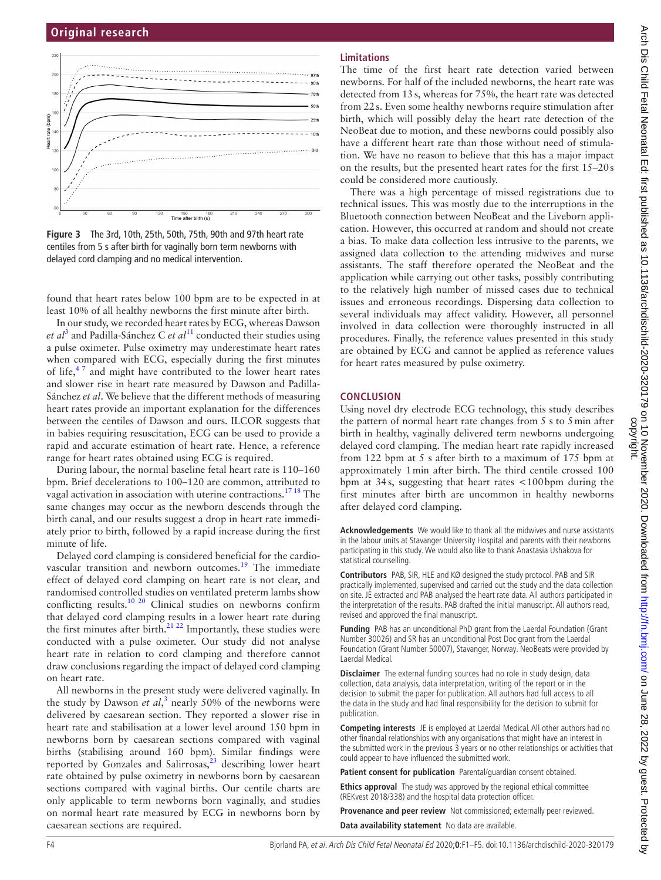

<span id="page-3-0"></span>**Figure 3** The 3rd, 10th, 25th, 50th, 75th, 90th and 97th heart rate centiles from 5 s after birth for vaginally born term newborns with delayed cord clamping and no medical intervention.

found that heart rates below 100 bpm are to be expected in at least 10% of all healthy newborns the first minute after birth.

In our study, we recorded heart rates by ECG, whereas Dawson et al<sup>[3](#page-4-2)</sup> and Padilla-Sánchez C et al<sup>11</sup> conducted their studies using a pulse oximeter. Pulse oximetry may underestimate heart rates when compared with ECG, especially during the first minutes of life, $4^7$  and might have contributed to the lower heart rates and slower rise in heart rate measured by Dawson and Padilla-Sánchez *et al*. We believe that the different methods of measuring heart rates provide an important explanation for the differences between the centiles of Dawson and ours. ILCOR suggests that in babies requiring resuscitation, ECG can be used to provide a rapid and accurate estimation of heart rate. Hence, a reference range for heart rates obtained using ECG is required.

During labour, the normal baseline fetal heart rate is 110–160 bpm. Brief decelerations to 100–120 are common, attributed to vagal activation in association with uterine contractions.[17 18](#page-4-13) The same changes may occur as the newborn descends through the birth canal, and our results suggest a drop in heart rate immediately prior to birth, followed by a rapid increase during the first minute of life.

Delayed cord clamping is considered beneficial for the cardiovascular transition and newborn outcomes.[19](#page-4-14) The immediate effect of delayed cord clamping on heart rate is not clear, and randomised controlled studies on ventilated preterm lambs show conflicting results.<sup>[10 20](#page-4-6)</sup> Clinical studies on newborns confirm that delayed cord clamping results in a lower heart rate during the first minutes after birth. $21 22$  Importantly, these studies were conducted with a pulse oximeter. Our study did not analyse heart rate in relation to cord clamping and therefore cannot draw conclusions regarding the impact of delayed cord clamping on heart rate.

All newborns in the present study were delivered vaginally. In the study by Dawson *et al*,<sup>[3](#page-4-2)</sup> nearly 50% of the newborns were delivered by caesarean section. They reported a slower rise in heart rate and stabilisation at a lower level around 150 bpm in newborns born by caesarean sections compared with vaginal births (stabilising around 160 bpm). Similar findings were reported by Gonzales and Salirrosas, $2^3$  describing lower heart rate obtained by pulse oximetry in newborns born by caesarean sections compared with vaginal births. Our centile charts are only applicable to term newborns born vaginally, and studies on normal heart rate measured by ECG in newborns born by caesarean sections are required.

## **Limitations**

The time of the first heart rate detection varied between newborns. For half of the included newborns, the heart rate was detected from 13s, whereas for 75%, the heart rate was detected from 22s. Even some healthy newborns require stimulation after birth, which will possibly delay the heart rate detection of the NeoBeat due to motion, and these newborns could possibly also have a different heart rate than those without need of stimulation. We have no reason to believe that this has a major impact on the results, but the presented heart rates for the first 15–20s could be considered more cautiously.

There was a high percentage of missed registrations due to technical issues. This was mostly due to the interruptions in the Bluetooth connection between NeoBeat and the Liveborn application. However, this occurred at random and should not create a bias. To make data collection less intrusive to the parents, we assigned data collection to the attending midwives and nurse assistants. The staff therefore operated the NeoBeat and the application while carrying out other tasks, possibly contributing to the relatively high number of missed cases due to technical issues and erroneous recordings. Dispersing data collection to several individuals may affect validity. However, all personnel involved in data collection were thoroughly instructed in all procedures. Finally, the reference values presented in this study are obtained by ECG and cannot be applied as reference values for heart rates measured by pulse oximetry.

### **CONCLUSION**

Using novel dry electrode ECG technology, this study describes the pattern of normal heart rate changes from 5 s to 5min after birth in healthy, vaginally delivered term newborns undergoing delayed cord clamping. The median heart rate rapidly increased from 122 bpm at 5 s after birth to a maximum of 175 bpm at approximately 1min after birth. The third centile crossed 100 bpm at 34s, suggesting that heart rates <100bpm during the first minutes after birth are uncommon in healthy newborns after delayed cord clamping.

**Acknowledgements** We would like to thank all the midwives and nurse assistants in the labour units at Stavanger University Hospital and parents with their newborns participating in this study. We would also like to thank Anastasia Ushakova for statistical counselling.

**Contributors** PAB, SIR, HLE and KØ designed the study protocol. PAB and SIR practically implemented, supervised and carried out the study and the data collection on site. JE extracted and PAB analysed the heart rate data. All authors participated in the interpretation of the results. PAB drafted the initial manuscript. All authors read, revised and approved the final manuscript.

**Funding** PAB has an unconditional PhD grant from the Laerdal Foundation (Grant Number 30026) and SR has an unconditional Post Doc grant from the Laerdal Foundation (Grant Number 50007), Stavanger, Norway. NeoBeats were provided by Laerdal Medical.

**Disclaimer** The external funding sources had no role in study design, data collection, data analysis, data interpretation, writing of the report or in the decision to submit the paper for publication. All authors had full access to all the data in the study and had final responsibility for the decision to submit for publication.

**Competing interests** JE is employed at Laerdal Medical. All other authors had no other financial relationships with any organisations that might have an interest in the submitted work in the previous 3 years or no other relationships or activities that could appear to have influenced the submitted work.

Patient consent for publication Parental/guardian consent obtained.

**Ethics approval** The study was approved by the regional ethical committee (REKvest 2018/338) and the hospital data protection officer.

**Provenance and peer review** Not commissioned; externally peer reviewed. **Data availability statement** No data are available.